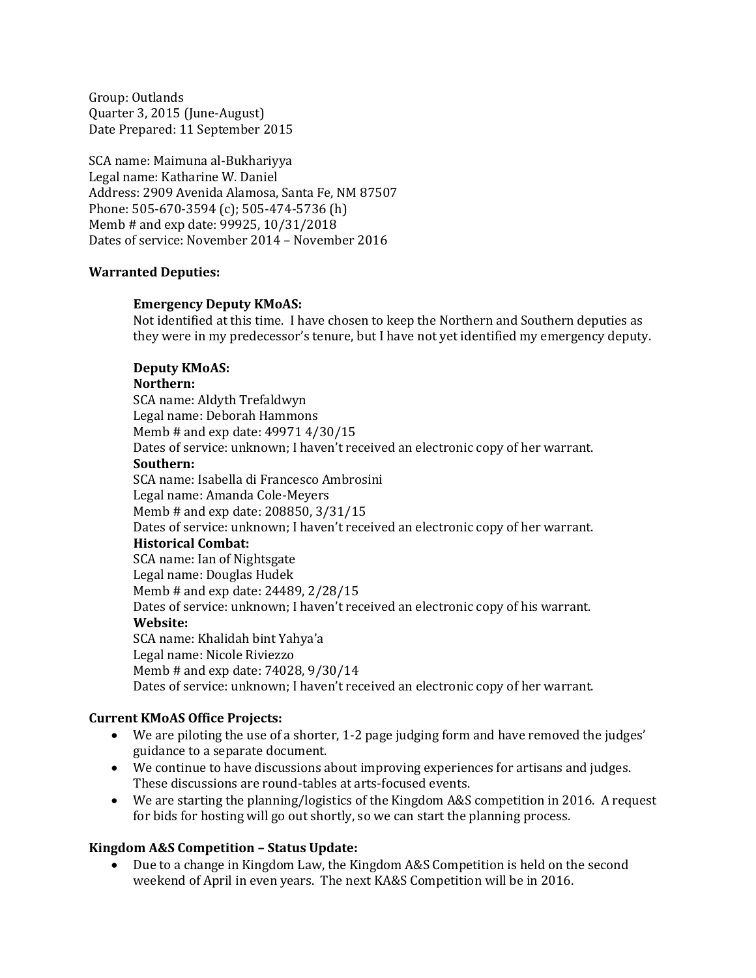Group: Outlands Quarter 3, 2015 (June-August) Date Prepared: 11 September 2015

SCA name: Maimuna al-Bukhariyya Legal name: Katharine W. Daniel Address: 2909 Avenida Alamosa, Santa Fe, NM 87507 Phone: 505-670-3594 (c); 505-474-5736 (h) Memb # and exp date: 99925, 10/31/2018 Dates of service: November 2014 – November 2016

### **Warranted Deputies:**

### **Emergency Deputy KMoAS:**

Not identified at this time. I have chosen to keep the Northern and Southern deputies as they were in my predecessor's tenure, but I have not yet identified my emergency deputy.

#### **Deputy KMoAS:**

#### **Northern:**

SCA name: Aldyth Trefaldwyn Legal name: Deborah Hammons Memb # and exp date: 49971 4/30/15 Dates of service: unknown; I haven't received an electronic copy of her warrant.

### **Southern:**

SCA name: Isabella di Francesco Ambrosini Legal name: Amanda Cole-Meyers Memb # and exp date: 208850, 3/31/15 Dates of service: unknown; I haven't received an electronic copy of her warrant. **Historical Combat:** SCA name: Ian of Nightsgate Legal name: Douglas Hudek Memb # and exp date: 24489, 2/28/15 Dates of service: unknown; I haven't received an electronic copy of his warrant. **Website:** SCA name: Khalidah bint Yahya'a Legal name: Nicole Riviezzo Memb # and exp date: 74028, 9/30/14 Dates of service: unknown; I haven't received an electronic copy of her warrant.

### **Current KMoAS Office Projects:**

- We are piloting the use of a shorter, 1-2 page judging form and have removed the judges' guidance to a separate document.
- We continue to have discussions about improving experiences for artisans and judges. These discussions are round-tables at arts-focused events.
- We are starting the planning/logistics of the Kingdom A&S competition in 2016. A request for bids for hosting will go out shortly, so we can start the planning process.

### **Kingdom A&S Competition – Status Update:**

 Due to a change in Kingdom Law, the Kingdom A&S Competition is held on the second weekend of April in even years. The next KA&S Competition will be in 2016.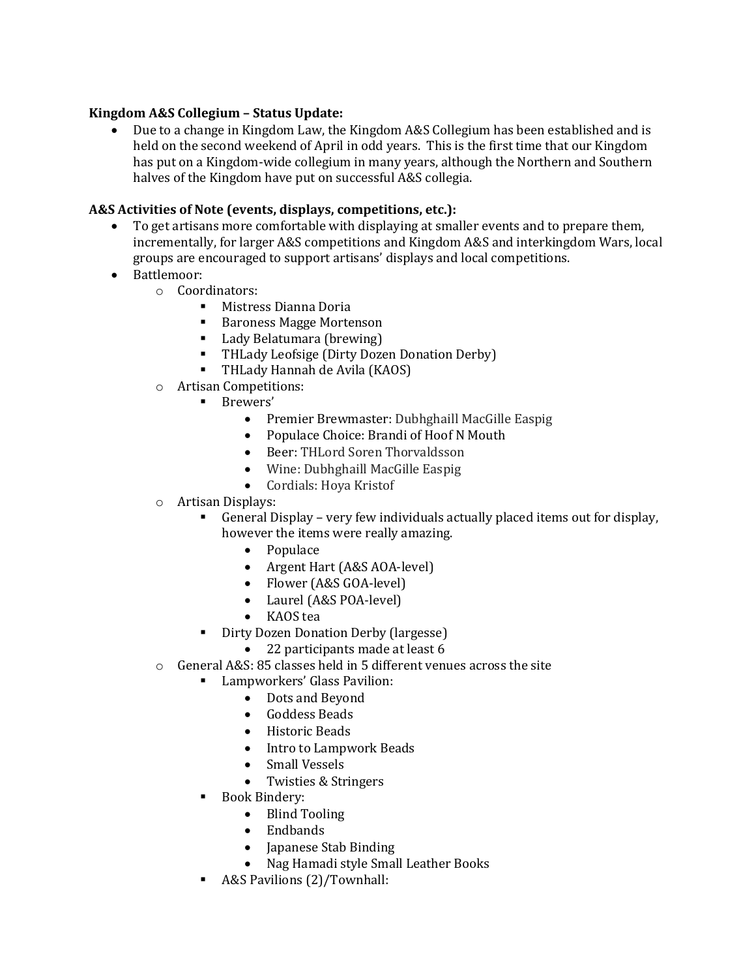## **Kingdom A&S Collegium – Status Update:**

 Due to a change in Kingdom Law, the Kingdom A&S Collegium has been established and is held on the second weekend of April in odd years. This is the first time that our Kingdom has put on a Kingdom-wide collegium in many years, although the Northern and Southern halves of the Kingdom have put on successful A&S collegia.

## **A&S Activities of Note (events, displays, competitions, etc.):**

- To get artisans more comfortable with displaying at smaller events and to prepare them, incrementally, for larger A&S competitions and Kingdom A&S and interkingdom Wars, local groups are encouraged to support artisans' displays and local competitions.
- Battlemoor:
	- o Coordinators:
		- Mistress Dianna Doria
		- Baroness Magge Mortenson
		- Lady Belatumara (brewing)
		- **THLady Leofsige (Dirty Dozen Donation Derby)**
		- THLady Hannah de Avila (KAOS)
	- o Artisan Competitions:
		- **Brewers'** 
			- Premier Brewmaster: Dubhghaill MacGille Easpig
			- Populace Choice: Brandi of Hoof N Mouth
			- Beer: THLord Soren Thorvaldsson
			- Wine: Dubhghaill MacGille Easpig
			- Cordials: Hoya Kristof
	- o Artisan Displays:
		- General Display very few individuals actually placed items out for display, however the items were really amazing.
			- Populace
			- Argent Hart (A&S AOA-level)
			- Flower (A&S GOA-level)
			- Laurel (A&S POA-level)
			- KAOS tea
		- Dirty Dozen Donation Derby (largesse)
			- 22 participants made at least 6
	- o General A&S: 85 classes held in 5 different venues across the site
		- Lampworkers' Glass Pavilion:
			- Dots and Beyond
			- Goddess Beads
			- Historic Beads
			- Intro to Lampwork Beads
			- Small Vessels
			- Twisties & Stringers
		- Book Bindery:
			- Blind Tooling
			- Endbands
			- Japanese Stab Binding
			- Nag Hamadi style Small Leather Books
		- A&S Pavilions (2)/Townhall: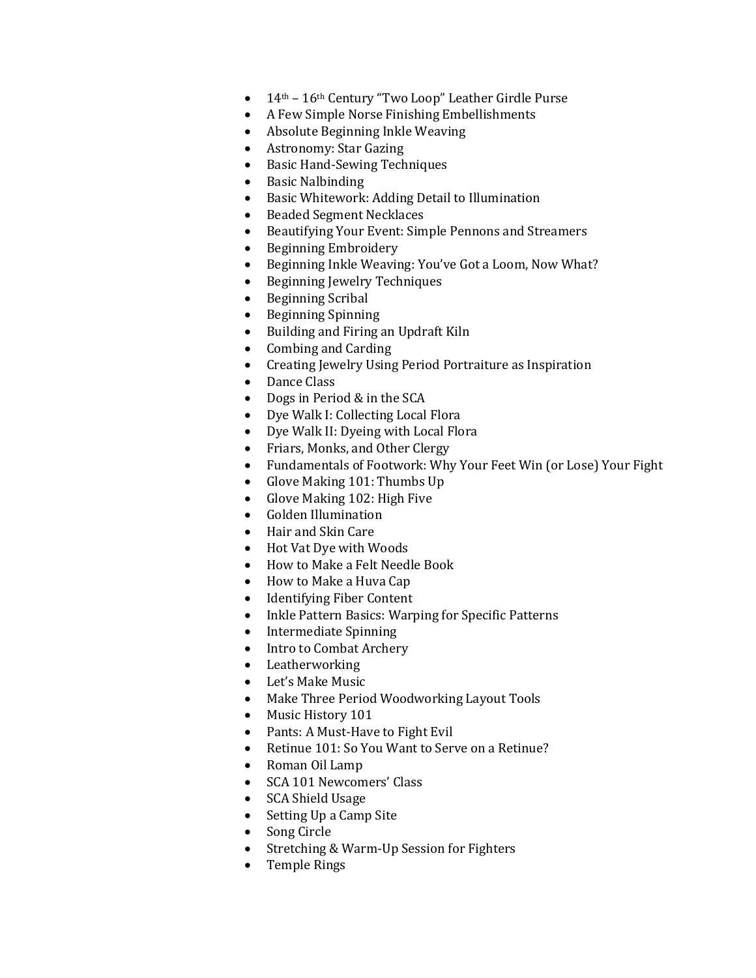- 14<sup>th</sup> 16<sup>th</sup> Century "Two Loop" Leather Girdle Purse
- A Few Simple Norse Finishing Embellishments
- Absolute Beginning Inkle Weaving
- Astronomy: Star Gazing
- Basic Hand-Sewing Techniques
- Basic Nalbinding
- Basic Whitework: Adding Detail to Illumination
- Beaded Segment Necklaces
- Beautifying Your Event: Simple Pennons and Streamers
- Beginning Embroidery
- Beginning Inkle Weaving: You've Got a Loom, Now What?
- Beginning Jewelry Techniques
- Beginning Scribal
- Beginning Spinning
- Building and Firing an Updraft Kiln
- Combing and Carding
- Creating Jewelry Using Period Portraiture as Inspiration
- Dance Class
- Dogs in Period & in the SCA
- Dye Walk I: Collecting Local Flora
- Dye Walk II: Dyeing with Local Flora
- Friars, Monks, and Other Clergy
- Fundamentals of Footwork: Why Your Feet Win (or Lose) Your Fight
- Glove Making 101: Thumbs Up
- Glove Making 102: High Five
- Golden Illumination
- Hair and Skin Care
- Hot Vat Dye with Woods
- How to Make a Felt Needle Book
- How to Make a Huva Cap
- Identifying Fiber Content
- Inkle Pattern Basics: Warping for Specific Patterns
- Intermediate Spinning
- Intro to Combat Archery
- Leatherworking
- Let's Make Music
- Make Three Period Woodworking Layout Tools
- Music History 101
- Pants: A Must-Have to Fight Evil
- Retinue 101: So You Want to Serve on a Retinue?
- Roman Oil Lamp
- SCA 101 Newcomers' Class
- SCA Shield Usage
- Setting Up a Camp Site
- Song Circle
- Stretching & Warm-Up Session for Fighters
- Temple Rings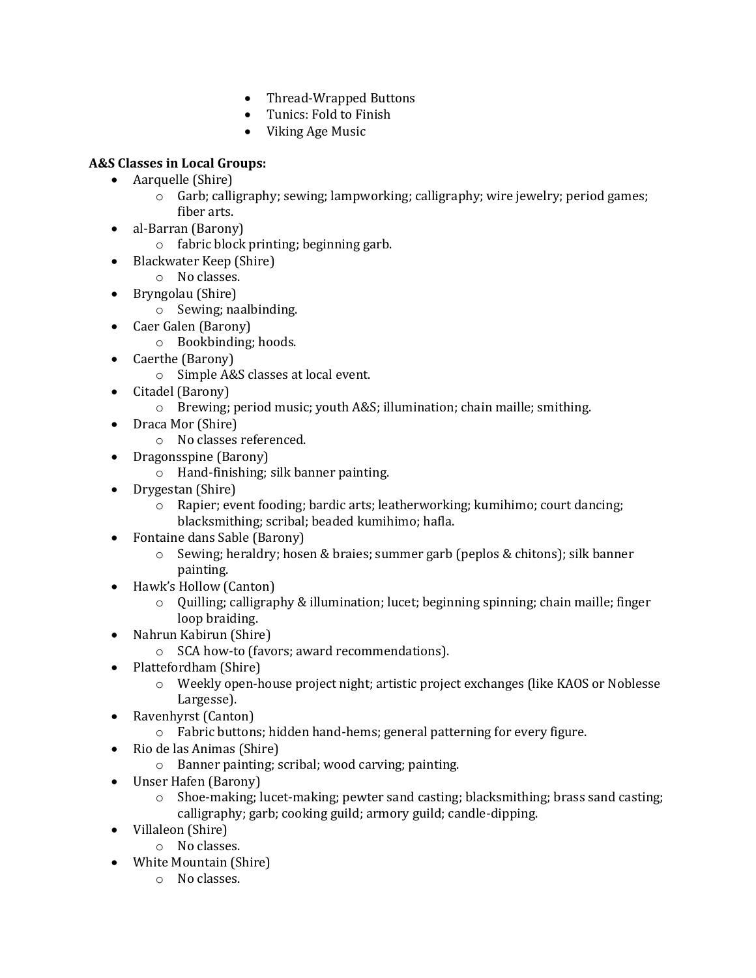- Thread-Wrapped Buttons
- Tunics: Fold to Finish
- Viking Age Music

# **A&S Classes in Local Groups:**

- Aarquelle (Shire)
	- $\circ$  Garb; calligraphy; sewing; lampworking; calligraphy; wire jewelry; period games; fiber arts.
- al-Barran (Barony)
	- o fabric block printing; beginning garb.
- Blackwater Keep (Shire)
	- o No classes.
- Bryngolau (Shire)
	- o Sewing; naalbinding.
- Caer Galen (Barony)
	- o Bookbinding; hoods.
- Caerthe (Barony)
	- o Simple A&S classes at local event.
- Citadel (Barony)
	- o Brewing; period music; youth A&S; illumination; chain maille; smithing.
- Draca Mor (Shire)
	- o No classes referenced.
- Dragonsspine (Barony)
	- o Hand-finishing; silk banner painting.
- Drygestan (Shire)
	- o Rapier; event fooding; bardic arts; leatherworking; kumihimo; court dancing; blacksmithing; scribal; beaded kumihimo; hafla.
- Fontaine dans Sable (Barony)
	- o Sewing; heraldry; hosen & braies; summer garb (peplos & chitons); silk banner painting.
- Hawk's Hollow (Canton)
	- $\circ$  Quilling; calligraphy & illumination; lucet; beginning spinning; chain maille; finger loop braiding.
- Nahrun Kabirun (Shire)
	- o SCA how-to (favors; award recommendations).
- Plattefordham (Shire)
	- o Weekly open-house project night; artistic project exchanges (like KAOS or Noblesse Largesse).
- Ravenhyrst (Canton)
	- o Fabric buttons; hidden hand-hems; general patterning for every figure.
- Rio de las Animas (Shire)
	- o Banner painting; scribal; wood carving; painting.
- Unser Hafen (Barony)
	- $\circ$  Shoe-making; lucet-making; pewter sand casting; blacksmithing; brass sand casting; calligraphy; garb; cooking guild; armory guild; candle-dipping.
- Villaleon (Shire)
	- o No classes.
- White Mountain (Shire)
	- o No classes.